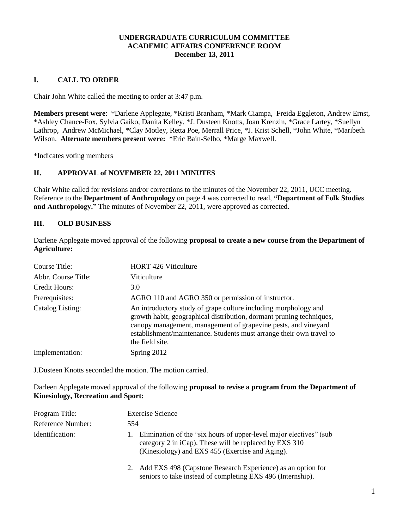## **UNDERGRADUATE CURRICULUM COMMITTEE ACADEMIC AFFAIRS CONFERENCE ROOM December 13, 2011**

# **I. CALL TO ORDER**

Chair John White called the meeting to order at 3:47 p.m.

**Members present were**: \*Darlene Applegate, \*Kristi Branham, \*Mark Ciampa, Freida Eggleton, Andrew Ernst, \*Ashley Chance-Fox, Sylvia Gaiko, Danita Kelley, \*J. Dusteen Knotts, Joan Krenzin, \*Grace Lartey, \*Suellyn Lathrop, Andrew McMichael, \*Clay Motley, Retta Poe, Merrall Price, \*J. Krist Schell, \*John White, \*Maribeth Wilson. **Alternate members present were:** \*Eric Bain-Selbo, \*Marge Maxwell.

\*Indicates voting members

## **II. APPROVAL of NOVEMBER 22, 2011 MINUTES**

Chair White called for revisions and/or corrections to the minutes of the November 22, 2011, UCC meeting. Reference to the **Department of Anthropology** on page 4 was corrected to read, **"Department of Folk Studies and Anthropology."** The minutes of November 22, 2011, were approved as corrected.

#### **III. OLD BUSINESS**

Darlene Applegate moved approval of the following **proposal to create a new course from the Department of Agriculture:**

| Course Title:       | <b>HORT 426 Viticulture</b>                                                                                                                                                                                                                                                                          |
|---------------------|------------------------------------------------------------------------------------------------------------------------------------------------------------------------------------------------------------------------------------------------------------------------------------------------------|
| Abbr. Course Title: | Viticulture                                                                                                                                                                                                                                                                                          |
| Credit Hours:       | 3.0                                                                                                                                                                                                                                                                                                  |
| Prerequisites:      | AGRO 110 and AGRO 350 or permission of instructor.                                                                                                                                                                                                                                                   |
| Catalog Listing:    | An introductory study of grape culture including morphology and<br>growth habit, geographical distribution, dormant pruning techniques,<br>canopy management, management of grapevine pests, and vineyard<br>establishment/maintenance. Students must arrange their own travel to<br>the field site. |
| Implementation:     | Spring 2012                                                                                                                                                                                                                                                                                          |

J.Dusteen Knotts seconded the motion. The motion carried.

Darleen Applegate moved approval of the following **proposal to** r**evise a program from the Department of Kinesiology, Recreation and Sport:**

| Program Title:    | <b>Exercise Science</b>                                                                                                                                                               |
|-------------------|---------------------------------------------------------------------------------------------------------------------------------------------------------------------------------------|
| Reference Number: | 554                                                                                                                                                                                   |
| Identification:   | Elimination of the "six hours of upper-level major electives" (sub<br>Ι.<br>category 2 in iCap). These will be replaced by EXS 310<br>(Kinesiology) and EXS 455 (Exercise and Aging). |
|                   | 2. Add EXS 498 (Capstone Research Experience) as an option for<br>seniors to take instead of completing EXS 496 (Internship).                                                         |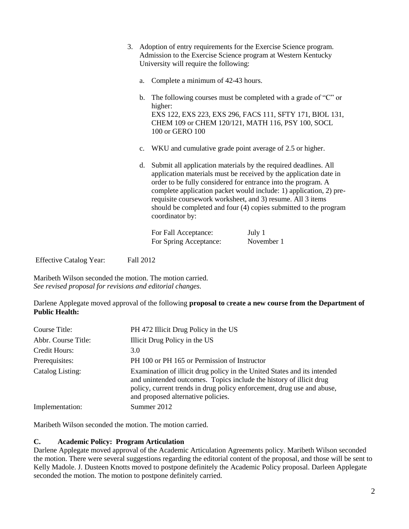- 3. Adoption of entry requirements for the Exercise Science program. Admission to the Exercise Science program at Western Kentucky University will require the following:
	- a. Complete a minimum of 42-43 hours.
	- b. The following courses must be completed with a grade of "C" or higher: EXS 122, EXS 223, EXS 296, FACS 111, SFTY 171, BIOL 131, CHEM 109 or CHEM 120/121, MATH 116, PSY 100, SOCL 100 or GERO 100
	- c. WKU and cumulative grade point average of 2.5 or higher.
	- d. Submit all application materials by the required deadlines. All application materials must be received by the application date in order to be fully considered for entrance into the program. A complete application packet would include: 1) application, 2) prerequisite coursework worksheet, and 3) resume. All 3 items should be completed and four (4) copies submitted to the program coordinator by:

| For Fall Acceptance:   | July 1     |
|------------------------|------------|
| For Spring Acceptance: | November 1 |

Effective Catalog Year: Fall 2012

Maribeth Wilson seconded the motion. The motion carried. *See revised proposal for revisions and editorial changes.*

Darlene Applegate moved approval of the following **proposal to** c**reate a new course from the Department of Public Health:**

| Course Title:       | PH 472 Illicit Drug Policy in the US                                                                                                                                                                                                                            |
|---------------------|-----------------------------------------------------------------------------------------------------------------------------------------------------------------------------------------------------------------------------------------------------------------|
| Abbr. Course Title: | Illicit Drug Policy in the US                                                                                                                                                                                                                                   |
| Credit Hours:       | 3.0                                                                                                                                                                                                                                                             |
| Prerequisites:      | PH 100 or PH 165 or Permission of Instructor                                                                                                                                                                                                                    |
| Catalog Listing:    | Examination of illicit drug policy in the United States and its intended<br>and unintended outcomes. Topics include the history of illicit drug<br>policy, current trends in drug policy enforcement, drug use and abuse,<br>and proposed alternative policies. |
| Implementation:     | Summer 2012                                                                                                                                                                                                                                                     |

Maribeth Wilson seconded the motion. The motion carried.

# **C. Academic Policy: Program Articulation**

Darlene Applegate moved approval of the Academic Articulation Agreements policy. Maribeth Wilson seconded the motion. There were several suggestions regarding the editorial content of the proposal, and those will be sent to Kelly Madole. J. Dusteen Knotts moved to postpone definitely the Academic Policy proposal. Darleen Applegate seconded the motion. The motion to postpone definitely carried.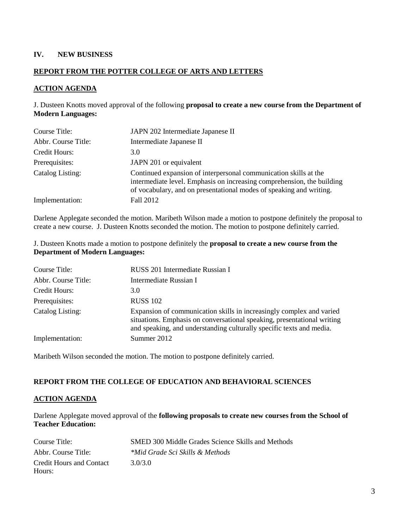## **IV. NEW BUSINESS**

# **REPORT FROM THE POTTER COLLEGE OF ARTS AND LETTERS**

#### **ACTION AGENDA**

### J. Dusteen Knotts moved approval of the following **proposal to create a new course from the Department of Modern Languages:**

| Course Title:       | JAPN 202 Intermediate Japanese II                                                                                                                                                                                 |
|---------------------|-------------------------------------------------------------------------------------------------------------------------------------------------------------------------------------------------------------------|
| Abbr. Course Title: | Intermediate Japanese II                                                                                                                                                                                          |
| Credit Hours:       | 3.0                                                                                                                                                                                                               |
| Prerequisites:      | JAPN 201 or equivalent                                                                                                                                                                                            |
| Catalog Listing:    | Continued expansion of interpersonal communication skills at the<br>intermediate level. Emphasis on increasing comprehension, the building<br>of vocabulary, and on presentational modes of speaking and writing. |
| Implementation:     | Fall 2012                                                                                                                                                                                                         |

Darlene Applegate seconded the motion. Maribeth Wilson made a motion to postpone definitely the proposal to create a new course. J. Dusteen Knotts seconded the motion. The motion to postpone definitely carried.

#### J. Dusteen Knotts made a motion to postpone definitely the **proposal to create a new course from the Department of Modern Languages:**

| Course Title:       | RUSS 201 Intermediate Russian I                                                                                                                                                                                         |
|---------------------|-------------------------------------------------------------------------------------------------------------------------------------------------------------------------------------------------------------------------|
| Abbr. Course Title: | Intermediate Russian I                                                                                                                                                                                                  |
| Credit Hours:       | 3.0                                                                                                                                                                                                                     |
| Prerequisites:      | <b>RUSS 102</b>                                                                                                                                                                                                         |
| Catalog Listing:    | Expansion of communication skills in increasingly complex and varied<br>situations. Emphasis on conversational speaking, presentational writing<br>and speaking, and understanding culturally specific texts and media. |
| Implementation:     | Summer 2012                                                                                                                                                                                                             |

Maribeth Wilson seconded the motion. The motion to postpone definitely carried.

#### **REPORT FROM THE COLLEGE OF EDUCATION AND BEHAVIORAL SCIENCES**

#### **ACTION AGENDA**

Darlene Applegate moved approval of the **following proposals to create new courses from the School of Teacher Education:**

| Course Title:            | <b>SMED 300 Middle Grades Science Skills and Methods</b> |
|--------------------------|----------------------------------------------------------|
| Abbr. Course Title:      | *Mid Grade Sci Skills & Methods                          |
| Credit Hours and Contact | 3.0/3.0                                                  |
| Hours:                   |                                                          |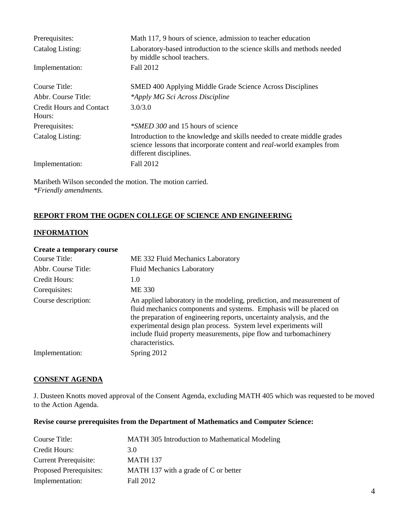| Prerequisites:                            | Math 117, 9 hours of science, admission to teacher education                                                                                                                       |
|-------------------------------------------|------------------------------------------------------------------------------------------------------------------------------------------------------------------------------------|
| Catalog Listing:                          | Laboratory-based introduction to the science skills and methods needed<br>by middle school teachers.                                                                               |
| Implementation:                           | Fall 2012                                                                                                                                                                          |
| Course Title:                             | SMED 400 Applying Middle Grade Science Across Disciplines                                                                                                                          |
| Abbr. Course Title:                       | *Apply MG Sci Across Discipline                                                                                                                                                    |
| <b>Credit Hours and Contact</b><br>Hours: | 3.0/3.0                                                                                                                                                                            |
| Prerequisites:                            | <i>*SMED 300</i> and 15 hours of science                                                                                                                                           |
| Catalog Listing:                          | Introduction to the knowledge and skills needed to create middle grades<br>science lessons that incorporate content and <i>real</i> -world examples from<br>different disciplines. |
| Implementation:                           | Fall 2012                                                                                                                                                                          |

Maribeth Wilson seconded the motion. The motion carried. *\*Friendly amendments.*

## **REPORT FROM THE OGDEN COLLEGE OF SCIENCE AND ENGINEERING**

#### **INFORMATION**

#### **Create a temporary course**

| Course Title:       | ME 332 Fluid Mechanics Laboratory                                                                                                                                                                                                                                                                                                                                                |
|---------------------|----------------------------------------------------------------------------------------------------------------------------------------------------------------------------------------------------------------------------------------------------------------------------------------------------------------------------------------------------------------------------------|
| Abbr. Course Title: | <b>Fluid Mechanics Laboratory</b>                                                                                                                                                                                                                                                                                                                                                |
| Credit Hours:       | 1.0                                                                                                                                                                                                                                                                                                                                                                              |
| Corequisites:       | ME 330                                                                                                                                                                                                                                                                                                                                                                           |
| Course description: | An applied laboratory in the modeling, prediction, and measurement of<br>fluid mechanics components and systems. Emphasis will be placed on<br>the preparation of engineering reports, uncertainty analysis, and the<br>experimental design plan process. System level experiments will<br>include fluid property measurements, pipe flow and turbomachinery<br>characteristics. |
| Implementation:     | Spring 2012                                                                                                                                                                                                                                                                                                                                                                      |

### **CONSENT AGENDA**

J. Dusteen Knotts moved approval of the Consent Agenda, excluding MATH 405 which was requested to be moved to the Action Agenda.

#### **Revise course prerequisites from the Department of Mathematics and Computer Science:**

| Course Title:                | MATH 305 Introduction to Mathematical Modeling |
|------------------------------|------------------------------------------------|
| Credit Hours:                | 3.0                                            |
| <b>Current Prerequisite:</b> | <b>MATH 137</b>                                |
| Proposed Prerequisites:      | MATH 137 with a grade of C or better           |
| Implementation:              | Fall 2012                                      |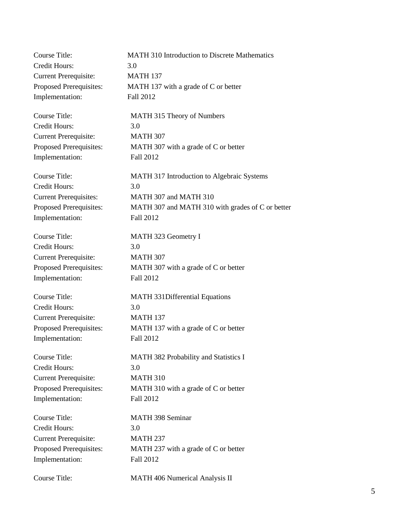| <b>Course Title:</b>          | <b>MATH 310 Introduction to Discrete Mathematics</b> |
|-------------------------------|------------------------------------------------------|
| <b>Credit Hours:</b>          | 3.0                                                  |
| <b>Current Prerequisite:</b>  | <b>MATH 137</b>                                      |
| Proposed Prerequisites:       | MATH 137 with a grade of C or better                 |
| Implementation:               | Fall 2012                                            |
| <b>Course Title:</b>          | MATH 315 Theory of Numbers                           |
| <b>Credit Hours:</b>          | 3.0                                                  |
| <b>Current Prerequisite:</b>  | <b>MATH 307</b>                                      |
| Proposed Prerequisites:       | MATH 307 with a grade of C or better                 |
| Implementation:               | Fall 2012                                            |
| <b>Course Title:</b>          | MATH 317 Introduction to Algebraic Systems           |
| Credit Hours:                 | 3.0                                                  |
| <b>Current Prerequisites:</b> | MATH 307 and MATH 310                                |
| Proposed Prerequisites:       | MATH 307 and MATH 310 with grades of C or better     |
| Implementation:               | Fall 2012                                            |
| <b>Course Title:</b>          | MATH 323 Geometry I                                  |
| Credit Hours:                 | 3.0                                                  |
| <b>Current Prerequisite:</b>  | <b>MATH 307</b>                                      |
| Proposed Prerequisites:       | MATH 307 with a grade of C or better                 |
| Implementation:               | Fall 2012                                            |
| <b>Course Title:</b>          | <b>MATH 331Differential Equations</b>                |
| <b>Credit Hours:</b>          | 3.0                                                  |
| <b>Current Prerequisite:</b>  | <b>MATH 137</b>                                      |
| Proposed Prerequisites:       | MATH 137 with a grade of C or better                 |
| Implementation:               | Fall 2012                                            |
| Course Title:                 | MATH 382 Probability and Statistics I                |
| <b>Credit Hours:</b>          | 3.0                                                  |
| <b>Current Prerequisite:</b>  | <b>MATH 310</b>                                      |
| Proposed Prerequisites:       | MATH 310 with a grade of C or better                 |
| Implementation:               | Fall 2012                                            |
| Course Title:                 | <b>MATH 398 Seminar</b>                              |
| Credit Hours:                 | 3.0                                                  |
| <b>Current Prerequisite:</b>  | <b>MATH 237</b>                                      |
| Proposed Prerequisites:       | MATH 237 with a grade of C or better                 |
| Implementation:               | Fall 2012                                            |
| Course Title:                 | MATH 406 Numerical Analysis II                       |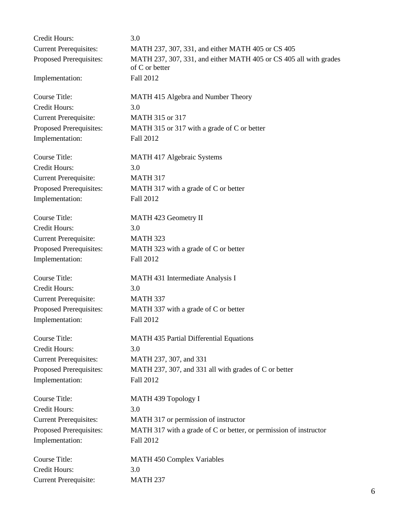| Credit Hours:                 | 3.0                                                                                 |
|-------------------------------|-------------------------------------------------------------------------------------|
| <b>Current Prerequisites:</b> | MATH 237, 307, 331, and either MATH 405 or CS 405                                   |
| Proposed Prerequisites:       | MATH 237, 307, 331, and either MATH 405 or CS 405 all with grades<br>of C or better |
| Implementation:               | Fall 2012                                                                           |
| Course Title:                 | MATH 415 Algebra and Number Theory                                                  |
| Credit Hours:                 | 3.0                                                                                 |
| <b>Current Prerequisite:</b>  | MATH 315 or 317                                                                     |
| Proposed Prerequisites:       | MATH 315 or 317 with a grade of C or better                                         |
| Implementation:               | Fall 2012                                                                           |
| Course Title:                 | MATH 417 Algebraic Systems                                                          |
| <b>Credit Hours:</b>          | 3.0                                                                                 |
| <b>Current Prerequisite:</b>  | <b>MATH 317</b>                                                                     |
| Proposed Prerequisites:       | MATH 317 with a grade of C or better                                                |
| Implementation:               | Fall 2012                                                                           |
| <b>Course Title:</b>          | MATH 423 Geometry II                                                                |
| Credit Hours:                 | 3.0                                                                                 |
| <b>Current Prerequisite:</b>  | <b>MATH 323</b>                                                                     |
| Proposed Prerequisites:       | MATH 323 with a grade of C or better                                                |
| Implementation:               | Fall 2012                                                                           |
| <b>Course Title:</b>          | MATH 431 Intermediate Analysis I                                                    |
| Credit Hours:                 | 3.0                                                                                 |
| <b>Current Prerequisite:</b>  | <b>MATH 337</b>                                                                     |
| Proposed Prerequisites:       | MATH 337 with a grade of C or better                                                |
| Implementation:               | Fall 2012                                                                           |
| <b>Course Title:</b>          | <b>MATH 435 Partial Differential Equations</b>                                      |
| Credit Hours:                 | 3.0                                                                                 |
| <b>Current Prerequisites:</b> | MATH 237, 307, and 331                                                              |
| Proposed Prerequisites:       | MATH 237, 307, and 331 all with grades of C or better                               |
| Implementation:               | Fall 2012                                                                           |
| <b>Course Title:</b>          | MATH 439 Topology I                                                                 |
| <b>Credit Hours:</b>          | 3.0                                                                                 |
| <b>Current Prerequisites:</b> | MATH 317 or permission of instructor                                                |
| Proposed Prerequisites:       | MATH 317 with a grade of C or better, or permission of instructor                   |
| Implementation:               | Fall 2012                                                                           |
| Course Title:                 | <b>MATH 450 Complex Variables</b>                                                   |
| Credit Hours:                 | 3.0                                                                                 |
| <b>Current Prerequisite:</b>  | <b>MATH 237</b>                                                                     |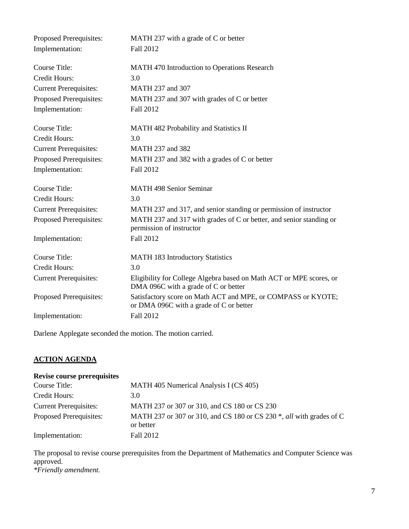| Proposed Prerequisites:       | MATH 237 with a grade of C or better                                                                        |
|-------------------------------|-------------------------------------------------------------------------------------------------------------|
| Implementation:               | Fall 2012                                                                                                   |
|                               |                                                                                                             |
| Course Title:                 | MATH 470 Introduction to Operations Research                                                                |
| <b>Credit Hours:</b>          | 3.0                                                                                                         |
| <b>Current Prerequisites:</b> | MATH 237 and 307                                                                                            |
| Proposed Prerequisites:       | MATH 237 and 307 with grades of C or better                                                                 |
| Implementation:               | Fall 2012                                                                                                   |
| <b>Course Title:</b>          | MATH 482 Probability and Statistics II                                                                      |
| Credit Hours:                 | 3.0                                                                                                         |
| <b>Current Prerequisites:</b> | MATH 237 and 382                                                                                            |
| Proposed Prerequisites:       | MATH 237 and 382 with a grades of C or better                                                               |
| Implementation:               | Fall 2012                                                                                                   |
| <b>Course Title:</b>          | <b>MATH 498 Senior Seminar</b>                                                                              |
| Credit Hours:                 | 3.0                                                                                                         |
| <b>Current Prerequisites:</b> | MATH 237 and 317, and senior standing or permission of instructor                                           |
| Proposed Prerequisites:       | MATH 237 and 317 with grades of C or better, and senior standing or<br>permission of instructor             |
| Implementation:               | Fall 2012                                                                                                   |
| <b>Course Title:</b>          | <b>MATH 183 Introductory Statistics</b>                                                                     |
| <b>Credit Hours:</b>          | 3.0                                                                                                         |
| <b>Current Prerequisites:</b> | Eligibility for College Algebra based on Math ACT or MPE scores, or<br>DMA 096C with a grade of C or better |
| Proposed Prerequisites:       | Satisfactory score on Math ACT and MPE, or COMPASS or KYOTE;<br>or DMA 096C with a grade of C or better     |
| Implementation:               | Fall 2012                                                                                                   |

Darlene Applegate seconded the motion. The motion carried.

# **ACTION AGENDA**

# **Revise course prerequisites**

| Course Title:                 | MATH 405 Numerical Analysis I (CS 405)                                                               |
|-------------------------------|------------------------------------------------------------------------------------------------------|
| Credit Hours:                 | 3.0                                                                                                  |
| <b>Current Prerequisites:</b> | MATH 237 or 307 or 310, and CS 180 or CS 230                                                         |
| Proposed Prerequisites:       | MATH 237 or 307 or 310, and CS 180 or CS 230 <sup>*</sup> , <i>all</i> with grades of C<br>or better |
| Implementation:               | Fall 2012                                                                                            |

The proposal to revise course prerequisites from the Department of Mathematics and Computer Science was approved. *\*Friendly amendment.*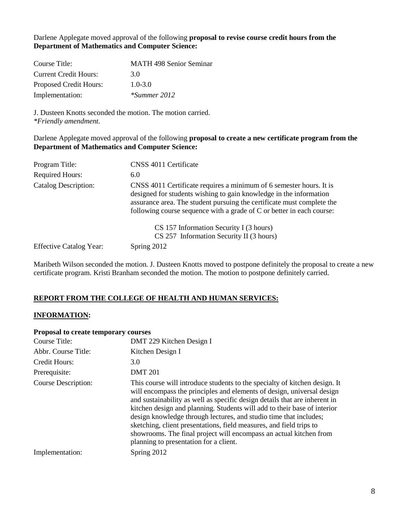Darlene Applegate moved approval of the following **proposal to revise course credit hours from the Department of Mathematics and Computer Science:**

| Course Title:                | <b>MATH 498 Senior Seminar</b> |
|------------------------------|--------------------------------|
| <b>Current Credit Hours:</b> | 3 O                            |
| Proposed Credit Hours:       | $1.0 - 3.0$                    |
| Implementation:              | *Summer 2012                   |

J. Dusteen Knotts seconded the motion. The motion carried. *\*Friendly amendment.*

Darlene Applegate moved approval of the following **proposal to create a new certificate program from the Department of Mathematics and Computer Science:**

| Program Title:                 | CNSS 4011 Certificate                                                                                                                                                                                                                                                                        |
|--------------------------------|----------------------------------------------------------------------------------------------------------------------------------------------------------------------------------------------------------------------------------------------------------------------------------------------|
| <b>Required Hours:</b>         | 6.0                                                                                                                                                                                                                                                                                          |
| <b>Catalog Description:</b>    | CNSS 4011 Certificate requires a minimum of 6 semester hours. It is<br>designed for students wishing to gain knowledge in the information<br>assurance area. The student pursuing the certificate must complete the<br>following course sequence with a grade of C or better in each course: |
| <b>Effective Catalog Year:</b> | CS 157 Information Security I (3 hours)<br>$CS$ 257 Information Security II (3 hours)<br>Spring 2012                                                                                                                                                                                         |
|                                |                                                                                                                                                                                                                                                                                              |

Maribeth Wilson seconded the motion. J. Dusteen Knotts moved to postpone definitely the proposal to create a new certificate program. Kristi Branham seconded the motion. The motion to postpone definitely carried.

# **REPORT FROM THE COLLEGE OF HEALTH AND HUMAN SERVICES:**

#### **INFORMATION:**

#### **Proposal to create temporary courses**

| DMT 229 Kitchen Design I                                                                                                                                                                                                                                                                                                                                                                                                                                                                                                                                                   |
|----------------------------------------------------------------------------------------------------------------------------------------------------------------------------------------------------------------------------------------------------------------------------------------------------------------------------------------------------------------------------------------------------------------------------------------------------------------------------------------------------------------------------------------------------------------------------|
| Kitchen Design I                                                                                                                                                                                                                                                                                                                                                                                                                                                                                                                                                           |
| 3.0                                                                                                                                                                                                                                                                                                                                                                                                                                                                                                                                                                        |
| <b>DMT 201</b>                                                                                                                                                                                                                                                                                                                                                                                                                                                                                                                                                             |
| This course will introduce students to the specialty of kitchen design. It<br>will encompass the principles and elements of design, universal design<br>and sustainability as well as specific design details that are inherent in<br>kitchen design and planning. Students will add to their base of interior<br>design knowledge through lectures, and studio time that includes;<br>sketching, client presentations, field measures, and field trips to<br>showrooms. The final project will encompass an actual kitchen from<br>planning to presentation for a client. |
| Spring 2012                                                                                                                                                                                                                                                                                                                                                                                                                                                                                                                                                                |
|                                                                                                                                                                                                                                                                                                                                                                                                                                                                                                                                                                            |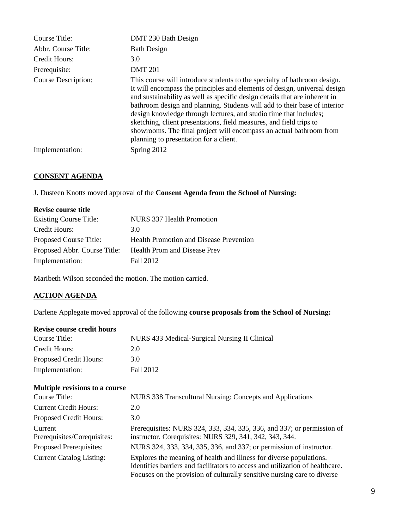| Course Title:              | DMT 230 Bath Design                                                                                                                                                                                                                                                                                                                                                                                                                                                                                                                                                           |
|----------------------------|-------------------------------------------------------------------------------------------------------------------------------------------------------------------------------------------------------------------------------------------------------------------------------------------------------------------------------------------------------------------------------------------------------------------------------------------------------------------------------------------------------------------------------------------------------------------------------|
| Abbr. Course Title:        | <b>Bath Design</b>                                                                                                                                                                                                                                                                                                                                                                                                                                                                                                                                                            |
| Credit Hours:              | 3.0                                                                                                                                                                                                                                                                                                                                                                                                                                                                                                                                                                           |
| Prerequisite:              | <b>DMT 201</b>                                                                                                                                                                                                                                                                                                                                                                                                                                                                                                                                                                |
| <b>Course Description:</b> | This course will introduce students to the specialty of bathroom design.<br>It will encompass the principles and elements of design, universal design<br>and sustainability as well as specific design details that are inherent in<br>bathroom design and planning. Students will add to their base of interior<br>design knowledge through lectures, and studio time that includes;<br>sketching, client presentations, field measures, and field trips to<br>showrooms. The final project will encompass an actual bathroom from<br>planning to presentation for a client. |
| Implementation:            | Spring 2012                                                                                                                                                                                                                                                                                                                                                                                                                                                                                                                                                                   |

# **CONSENT AGENDA**

J. Dusteen Knotts moved approval of the **Consent Agenda from the School of Nursing:**

| <b>Revise course title</b>    |                                                |
|-------------------------------|------------------------------------------------|
| <b>Existing Course Title:</b> | NURS 337 Health Promotion                      |
| Credit Hours:                 | 3.0                                            |
| Proposed Course Title:        | <b>Health Promotion and Disease Prevention</b> |
| Proposed Abbr. Course Title:  | <b>Health Prom and Disease Prev</b>            |
| Implementation:               | Fall 2012                                      |

Maribeth Wilson seconded the motion. The motion carried.

# **ACTION AGENDA**

Darlene Applegate moved approval of the following **course proposals from the School of Nursing:**

#### **Revise course credit hours**

| Course Title:          | NURS 433 Medical-Surgical Nursing II Clinical |
|------------------------|-----------------------------------------------|
| Credit Hours:          | 2.0                                           |
| Proposed Credit Hours: | 3.O                                           |
| Implementation:        | Fall 2012                                     |

# **Multiple revisions to a course**

| Course Title:                          | NURS 338 Transcultural Nursing: Concepts and Applications                                                                                                                                                                        |
|----------------------------------------|----------------------------------------------------------------------------------------------------------------------------------------------------------------------------------------------------------------------------------|
| <b>Current Credit Hours:</b>           | 2.0                                                                                                                                                                                                                              |
| Proposed Credit Hours:                 | 3.0                                                                                                                                                                                                                              |
| Current<br>Prerequisites/Corequisites: | Prerequisites: NURS 324, 333, 334, 335, 336, and 337; or permission of<br>instructor. Corequisites: NURS 329, 341, 342, 343, 344.                                                                                                |
| Proposed Prerequisites:                | NURS 324, 333, 334, 335, 336, and 337; or permission of instructor.                                                                                                                                                              |
| <b>Current Catalog Listing:</b>        | Explores the meaning of health and illness for diverse populations.<br>Identifies barriers and facilitators to access and utilization of healthcare.<br>Focuses on the provision of culturally sensitive nursing care to diverse |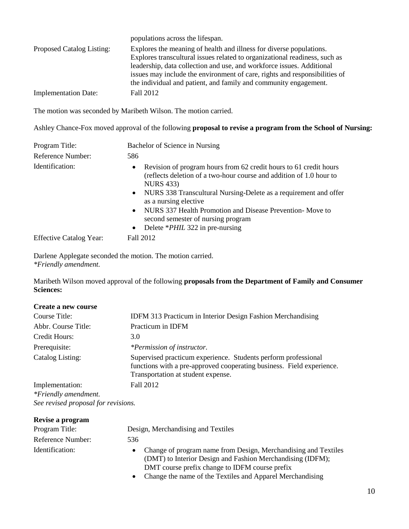|                             | populations across the lifespan.                                                                                                                                                                                                                                                                                                                                             |
|-----------------------------|------------------------------------------------------------------------------------------------------------------------------------------------------------------------------------------------------------------------------------------------------------------------------------------------------------------------------------------------------------------------------|
| Proposed Catalog Listing:   | Explores the meaning of health and illness for diverse populations.<br>Explores transcultural issues related to organizational readiness, such as<br>leadership, data collection and use, and workforce issues. Additional<br>issues may include the environment of care, rights and responsibilities of<br>the individual and patient, and family and community engagement. |
| <b>Implementation Date:</b> | Fall 2012                                                                                                                                                                                                                                                                                                                                                                    |

The motion was seconded by Maribeth Wilson. The motion carried.

Ashley Chance-Fox moved approval of the following **proposal to revise a program from the School of Nursing:**

| Program Title:                 | Bachelor of Science in Nursing                                                                                                                                                                                                                                                                                                                                                                                                                             |
|--------------------------------|------------------------------------------------------------------------------------------------------------------------------------------------------------------------------------------------------------------------------------------------------------------------------------------------------------------------------------------------------------------------------------------------------------------------------------------------------------|
| Reference Number:              | 586                                                                                                                                                                                                                                                                                                                                                                                                                                                        |
| Identification:                | Revision of program hours from 62 credit hours to 61 credit hours<br>$\bullet$<br>(reflects deletion of a two-hour course and addition of 1.0 hour to<br><b>NURS</b> 433)<br>NURS 338 Transcultural Nursing-Delete as a requirement and offer<br>$\bullet$<br>as a nursing elective<br>NURS 337 Health Promotion and Disease Prevention-Move to<br>$\bullet$<br>second semester of nursing program<br>Delete * <i>PHIL</i> 322 in pre-nursing<br>$\bullet$ |
| <b>Effective Catalog Year:</b> | Fall 2012                                                                                                                                                                                                                                                                                                                                                                                                                                                  |

Darlene Applegate seconded the motion. The motion carried. *\*Friendly amendment.*

Maribeth Wilson moved approval of the following **proposals from the Department of Family and Consumer Sciences:**

| Create a new course  |                                                                                                                                                                               |
|----------------------|-------------------------------------------------------------------------------------------------------------------------------------------------------------------------------|
| Course Title:        | <b>IDFM 313 Practicum in Interior Design Fashion Merchandising</b>                                                                                                            |
| Abbr. Course Title:  | Practicum in IDFM                                                                                                                                                             |
| Credit Hours:        | 3.0                                                                                                                                                                           |
| Prerequisite:        | <i>*Permission of instructor.</i>                                                                                                                                             |
| Catalog Listing:     | Supervised practicum experience. Students perform professional<br>functions with a pre-approved cooperating business. Field experience.<br>Transportation at student expense. |
| Implementation:      | Fall 2012                                                                                                                                                                     |
| *Friendly amendment. |                                                                                                                                                                               |

*See revised proposal for revisions.*

| Revise a program  |                                                                                                                                                                                |
|-------------------|--------------------------------------------------------------------------------------------------------------------------------------------------------------------------------|
| Program Title:    | Design, Merchandising and Textiles                                                                                                                                             |
| Reference Number: | 536                                                                                                                                                                            |
| Identification:   | Change of program name from Design, Merchandising and Textiles<br>(DMT) to Interior Design and Fashion Merchandising (IDFM);<br>DMT course prefix change to IDFM course prefix |

• Change the name of the Textiles and Apparel Merchandising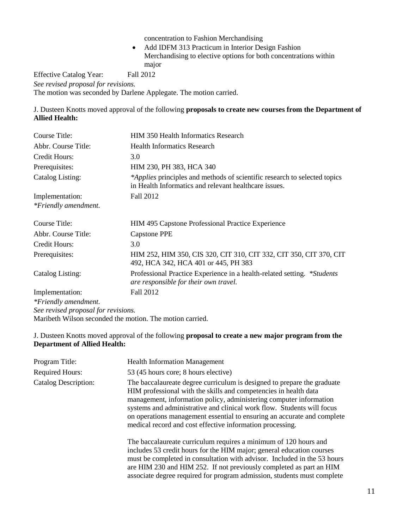concentration to Fashion Merchandising

 Add IDFM 313 Practicum in Interior Design Fashion Merchandising to elective options for both concentrations within major

Effective Catalog Year: Fall 2012 *See revised proposal for revisions.* The motion was seconded by Darlene Applegate. The motion carried.

J. Dusteen Knotts moved approval of the following **proposals to create new courses from the Department of Allied Health:**

| Course Title:                       | <b>HIM 350 Health Informatics Research</b>                                                                                         |
|-------------------------------------|------------------------------------------------------------------------------------------------------------------------------------|
| Abbr. Course Title:                 | <b>Health Informatics Research</b>                                                                                                 |
| Credit Hours:                       | 3.0                                                                                                                                |
| Prerequisites:                      | HIM 230, PH 383, HCA 340                                                                                                           |
| Catalog Listing:                    | *Applies principles and methods of scientific research to selected topics<br>in Health Informatics and relevant healthcare issues. |
| Implementation:                     | Fall 2012                                                                                                                          |
| *Friendly amendment.                |                                                                                                                                    |
| Course Title:                       | HIM 495 Capstone Professional Practice Experience                                                                                  |
| Abbr. Course Title:                 | Capstone PPE                                                                                                                       |
| Credit Hours:                       | 3.0                                                                                                                                |
| Prerequisites:                      | HIM 252, HIM 350, CIS 320, CIT 310, CIT 332, CIT 350, CIT 370, CIT<br>492, HCA 342, HCA 401 or 445, PH 383                         |
| Catalog Listing:                    | Professional Practice Experience in a health-related setting. *Students<br>are responsible for their own travel.                   |
| Implementation:                     | Fall 2012                                                                                                                          |
| *Friendly amendment.                |                                                                                                                                    |
| See revised proposal for revisions. |                                                                                                                                    |

Maribeth Wilson seconded the motion. The motion carried.

#### J. Dusteen Knotts moved approval of the following **proposal to create a new major program from the Department of Allied Health:**

| Program Title:              | <b>Health Information Management</b>                                                                                                                                                                                                                                                                                                                                                                                                |
|-----------------------------|-------------------------------------------------------------------------------------------------------------------------------------------------------------------------------------------------------------------------------------------------------------------------------------------------------------------------------------------------------------------------------------------------------------------------------------|
| <b>Required Hours:</b>      | 53 (45 hours core; 8 hours elective)                                                                                                                                                                                                                                                                                                                                                                                                |
| <b>Catalog Description:</b> | The baccalaureate degree curriculum is designed to prepare the graduate<br>HIM professional with the skills and competencies in health data<br>management, information policy, administering computer information<br>systems and administrative and clinical work flow. Students will focus<br>on operations management essential to ensuring an accurate and complete<br>medical record and cost effective information processing. |
|                             | The baccalaureate curriculum requires a minimum of 120 hours and<br>includes 53 credit hours for the HIM major; general education courses<br>must be completed in consultation with advisor. Included in the 53 hours<br>are HIM 230 and HIM 252. If not previously completed as part an HIM<br>associate degree required for program admission, students must complete                                                             |